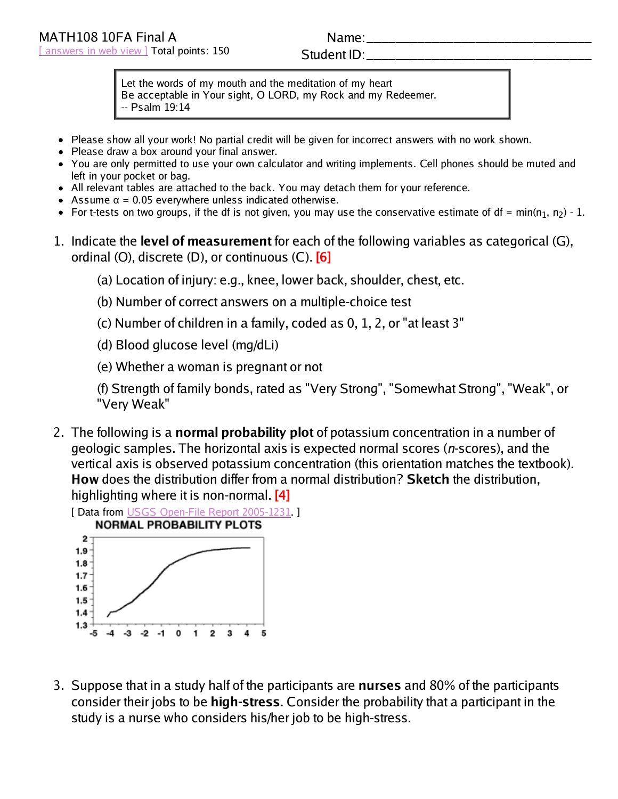## Name:

## Student ID:

Let the words of my mouth and the meditation of my heart Be acceptable in Your sight, O LORD, my Rock and my Redeemer. -- Psalm 19:14

- Please show all your work! No partial credit will be given for incorrect answers with no work shown.
- Please draw a box around your final answer.
- You are only permitted to use your own calculator and writing implements. Cell phones should be muted and left in your pocket or bag.
- All relevant tables are attached to the back. You may detach them for your reference.
- Assume  $\alpha$  = 0.05 everywhere unless indicated otherwise.
- For t-tests on two groups, if the df is not given, you may use the conservative estimate of df = min(n<sub>1</sub>, n<sub>2</sub>) 1.
- 1. Indicate the **level of measurement** for each of the following variables as categorical (G), ordinal (O), discrete (D), or continuous (C). **[6]**
	- (a) Location of injury: e.g., knee, lower back, shoulder, chest, etc.
	- (b) Number of correct answers on a multiple-choice test
	- (c) Number of children in a family, coded as 0, 1, 2, or "at least 3"
	- (d) Blood glucose level (mg/dLi)
	- (e) Whether a woman is pregnant or not
	- (f) Strength of family bonds, rated as "Very Strong", "Somewhat Strong", "Weak", or "Very Weak"
- 2. The following is a **normal probability plot** of potassium concentration in a number of geologic samples. The horizontal axis is expected normal scores (n-scores), and the vertical axis is observed potassium concentration (this orientation matches the textbook). **How** does the distribution differ from a normal distribution? **Sketch** the distribution, highlighting where it is non-normal. **[4]**

[ Data from USGS Open-File Report 2005-1231. ]



3. Suppose that in a study half of the participants are **nurses** and 80% of the participants consider their jobs to be **high-stress**. Consider the probability that a participant in the study is a nurse who considers his/her job to be high-stress.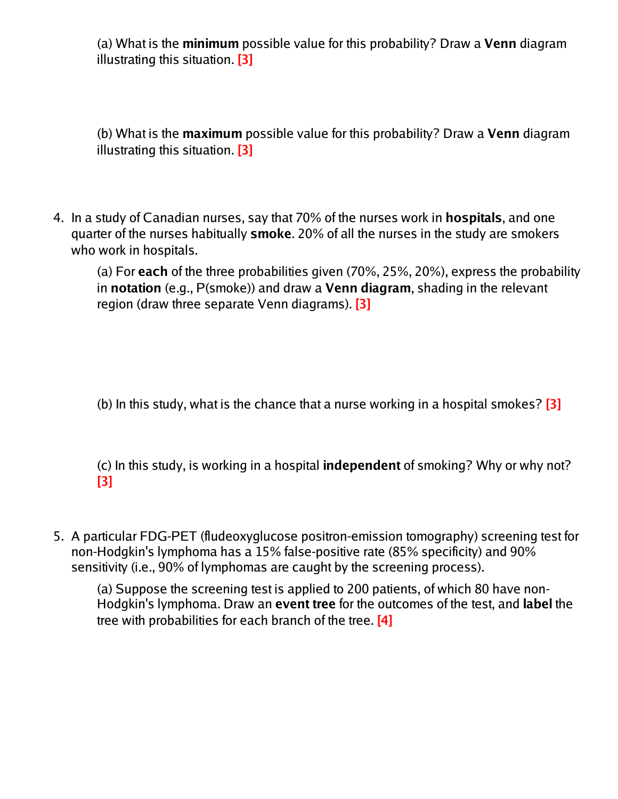(a) What is the **minimum** possible value for this probability? Draw a **Venn** diagram illustrating this situation. **[3]**

(b) What is the **maximum** possible value for this probability? Draw a **Venn** diagram illustrating this situation. **[3]**

4. In a study of Canadian nurses, say that 70% of the nurses work in **hospitals**, and one quarter of the nurses habitually **smoke**. 20% of all the nurses in the study are smokers who work in hospitals.

(a) For **each** of the three probabilities given (70%, 25%, 20%), express the probability in **notation** (e.g., P(smoke)) and draw a **Venn diagram**, shading in the relevant region (draw three separate Venn diagrams). **[3]**

(b) In this study, what is the chance that a nurse working in a hospital smokes? **[3]**

(c) In this study, is working in a hospital **independent** of smoking? Why or why not? **[3]**

5. A particular FDG-PET (fludeoxyglucose positron-emission tomography) screening test for non-Hodgkin's lymphoma has a 15% false-positive rate (85% specificity) and 90% sensitivity (i.e., 90% of lymphomas are caught by the screening process).

(a) Suppose the screening test is applied to 200 patients, of which 80 have non-Hodgkin's lymphoma. Draw an **event tree** for the outcomes of the test, and **label** the tree with probabilities for each branch of the tree. **[4]**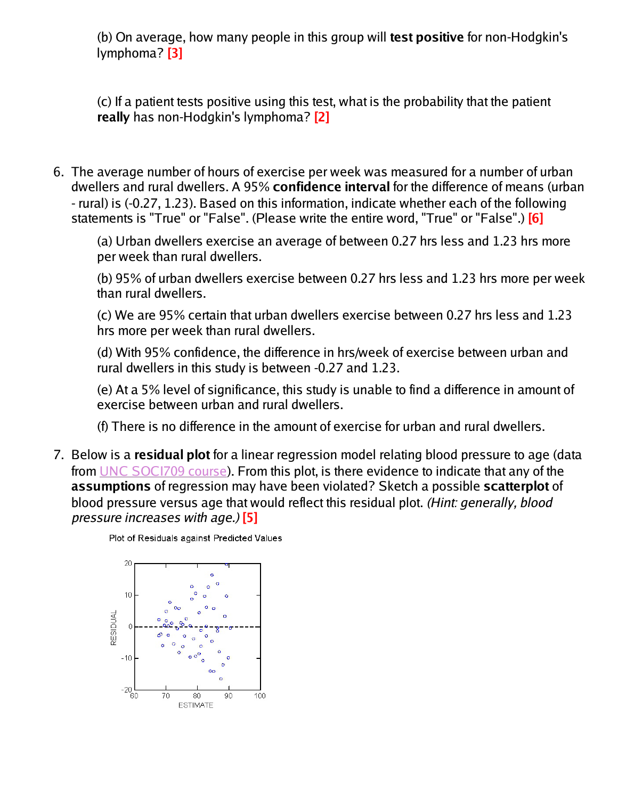(b) On average, how many people in this group will **test positive** for non-Hodgkin's lymphoma? **[3]**

(c) If a patient tests positive using this test, what is the probability that the patient **really** has non-Hodgkin's lymphoma? **[2]**

6. The average number of hours of exercise per week was measured for a number of urban dwellers and rural dwellers. A 95% **confidence interval** for the difference of means (urban - rural) is (-0.27, 1.23). Based on this information, indicate whether each of the following statements is "True" or "False". (Please write the entire word, "True" or "False".) **[6]**

(a) Urban dwellers exercise an average of between 0.27 hrs less and 1.23 hrs more per week than rural dwellers.

(b) 95% of urban dwellers exercise between 0.27 hrs less and 1.23 hrs more per week than rural dwellers.

(c) We are 95% certain that urban dwellers exercise between 0.27 hrs less and 1.23 hrs more per week than rural dwellers.

(d) With 95% confidence, the difference in hrs/week of exercise between urban and rural dwellers in this study is between -0.27 and 1.23.

(e) At a 5% level of significance, this study is unable to find a difference in amount of exercise between urban and rural dwellers.

(f) There is no difference in the amount of exercise for urban and rural dwellers.

7. Below is a **residual plot** for a linear regression model relating blood pressure to age (data from UNC SOCI709 course). From this plot, is there evidence to indicate that any of the **assumptions** of regression may have been violated? Sketch a possible **scatterplot** of blood pressure versus age that would reflect this residual plot. (Hint: generally, blood pressure increases with age.) **[5]**

Plot of Residuals against Predicted Values

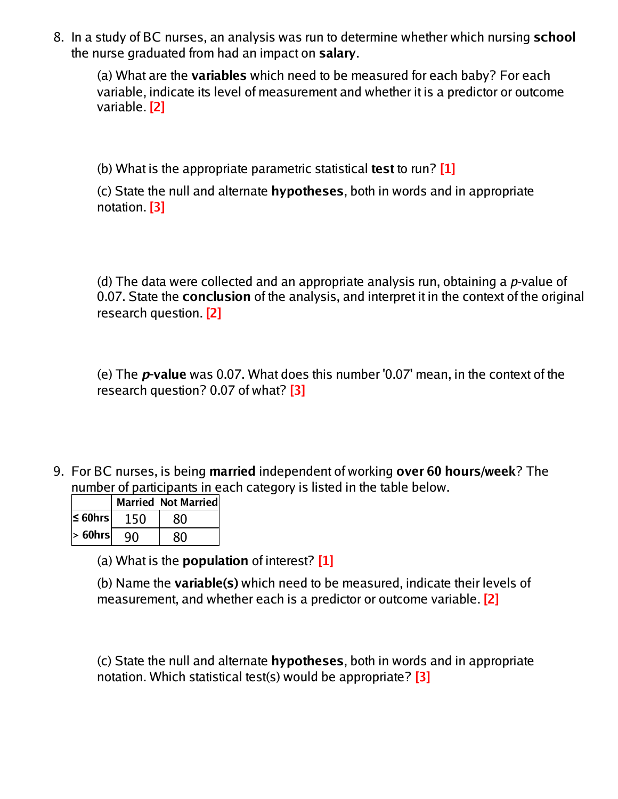8. In a study of BC nurses, an analysis was run to determine whether which nursing **school** the nurse graduated from had an impact on **salary**.

(a) What are the **variables** which need to be measured for each baby? For each variable, indicate its level of measurement and whether it is a predictor or outcome variable. **[2]**

(b) What is the appropriate parametric statistical **test** to run? **[1]**

(c) State the null and alternate **hypotheses**, both in words and in appropriate notation. **[3]**

(d) The data were collected and an appropriate analysis run, obtaining a  $p$ -value of 0.07. State the **conclusion** of the analysis, and interpret it in the context of the original research question. **[2]**

(e) The **p-value** was 0.07. What does this number '0.07' mean, in the context of the research question? 0.07 of what? **[3]**

9. For BC nurses, is being **married** independent of working **over 60 hours/week**? The number of participants in each category is listed in the table below.

|               |     | <b>Married Not Married</b> |
|---------------|-----|----------------------------|
| $\leq 60$ hrs | 150 | 80                         |
| $> 60$ hrs    | q٨  | ጸበ                         |

(a) What is the **population** of interest? **[1]**

(b) Name the **variable(s)** which need to be measured, indicate their levels of measurement, and whether each is a predictor or outcome variable. **[2]**

(c) State the null and alternate **hypotheses**, both in words and in appropriate notation. Which statistical test(s) would be appropriate? **[3]**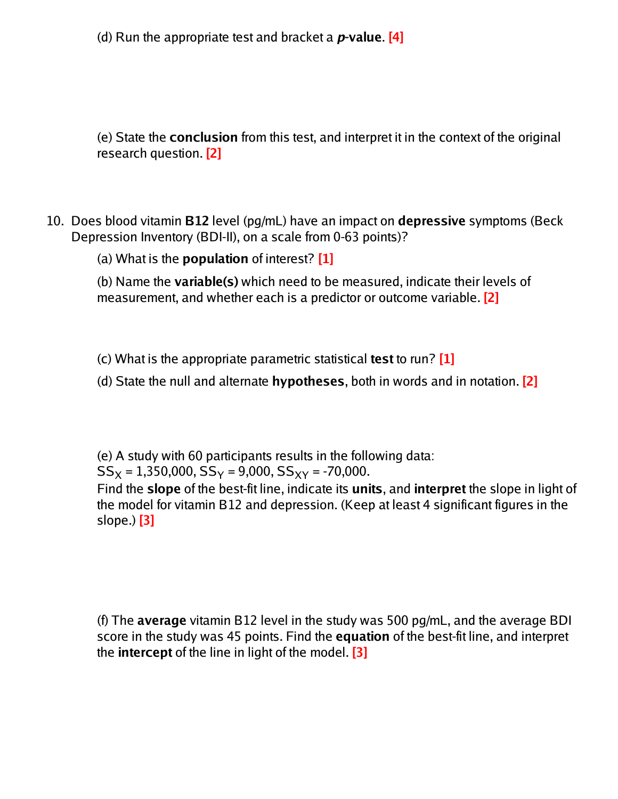(d) Run the appropriate test and bracket a **p-value**. **[4]**

(e) State the **conclusion** from this test, and interpret it in the context of the original research question. **[2]**

10. Does blood vitamin **B12** level (pg/mL) have an impact on **depressive** symptoms (Beck Depression Inventory (BDI-II), on a scale from 0-63 points)?

(a) What is the **population** of interest? **[1]**

(b) Name the **variable(s)** which need to be measured, indicate their levels of measurement, and whether each is a predictor or outcome variable. **[2]**

(c) What is the appropriate parametric statistical **test** to run? **[1]**

(d) State the null and alternate **hypotheses**, both in words and in notation. **[2]**

(e) A study with 60 participants results in the following data:  $SS_x = 1,350,000, SS_y = 9,000, SS_{xy} = -70,000.$ Find the **slope** of the best-fit line, indicate its **units**, and **interpret** the slope in light of the model for vitamin B12 and depression. (Keep at least 4 significant figures in the slope.) **[3]**

(f) The **average** vitamin B12 level in the study was 500 pg/mL, and the average BDI score in the study was 45 points. Find the **equation** of the best-fit line, and interpret the **intercept** of the line in light of the model. **[3]**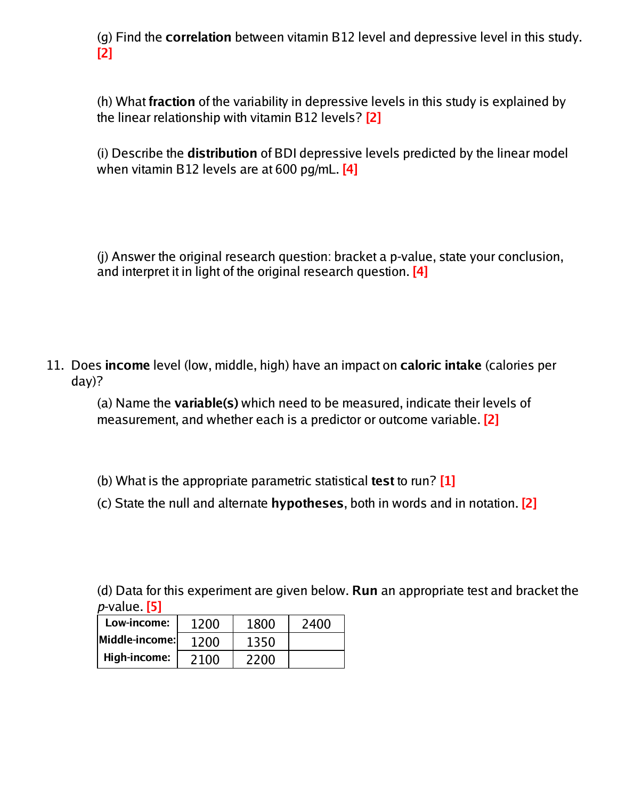(g) Find the **correlation** between vitamin B12 level and depressive level in this study. **[2]**

(h) What **fraction** of the variability in depressive levels in this study is explained by the linear relationship with vitamin B12 levels? **[2]**

(i) Describe the **distribution** of BDI depressive levels predicted by the linear model when vitamin B12 levels are at 600 pg/mL. **[4]**

(j) Answer the original research question: bracket a p-value, state your conclusion, and interpret it in light of the original research question. **[4]**

11. Does **income** level (low, middle, high) have an impact on **caloric intake** (calories per day)?

(a) Name the **variable(s)** which need to be measured, indicate their levels of measurement, and whether each is a predictor or outcome variable. **[2]**

- (b) What is the appropriate parametric statistical **test** to run? **[1]**
- (c) State the null and alternate **hypotheses**, both in words and in notation. **[2]**

(d) Data for this experiment are given below. **Run** an appropriate test and bracket the p-value. **[5]**

| Low-income:     | 1200 | 1800 | 2400 |
|-----------------|------|------|------|
| Middle-income:l | 1200 | 1350 |      |
| High-income:    | 2100 | 2200 |      |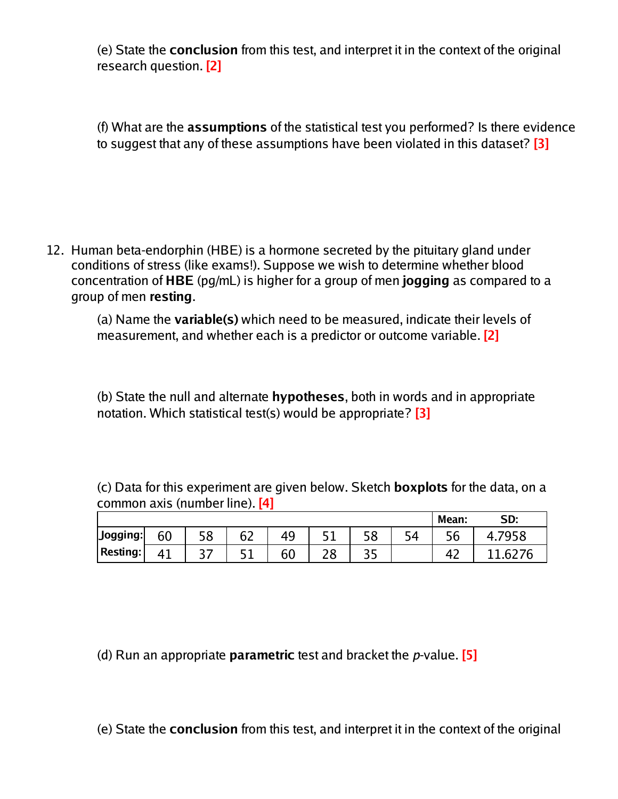(e) State the **conclusion** from this test, and interpret it in the context of the original research question. **[2]**

(f) What are the **assumptions** of the statistical test you performed? Is there evidence to suggest that any of these assumptions have been violated in this dataset? **[3]**

12. Human beta-endorphin (HBE) is a hormone secreted by the pituitary gland under conditions of stress (like exams!). Suppose we wish to determine whether blood concentration of **HBE** (pg/mL) is higher for a group of men **jogging** as compared to a group of men **resting**.

(a) Name the **variable(s)** which need to be measured, indicate their levels of measurement, and whether each is a predictor or outcome variable. **[2]**

(b) State the null and alternate **hypotheses**, both in words and in appropriate notation. Which statistical test(s) would be appropriate? **[3]**

(c) Data for this experiment are given below. Sketch **boxplots** for the data, on a common axis (number line). **[4]**

|          |    |    |          |    |     |            |    | Mean: | SD: |
|----------|----|----|----------|----|-----|------------|----|-------|-----|
| Jogging: | 60 | 58 | 67<br>◡▵ | 49 |     | ၁၀         | ҕ⊿ |       |     |
| Resting: | 41 |    | г 1      | 60 | د ہ | <u>J J</u> |    |       | h   |

(d) Run an appropriate **parametric** test and bracket the p-value. **[5]**

(e) State the **conclusion** from this test, and interpret it in the context of the original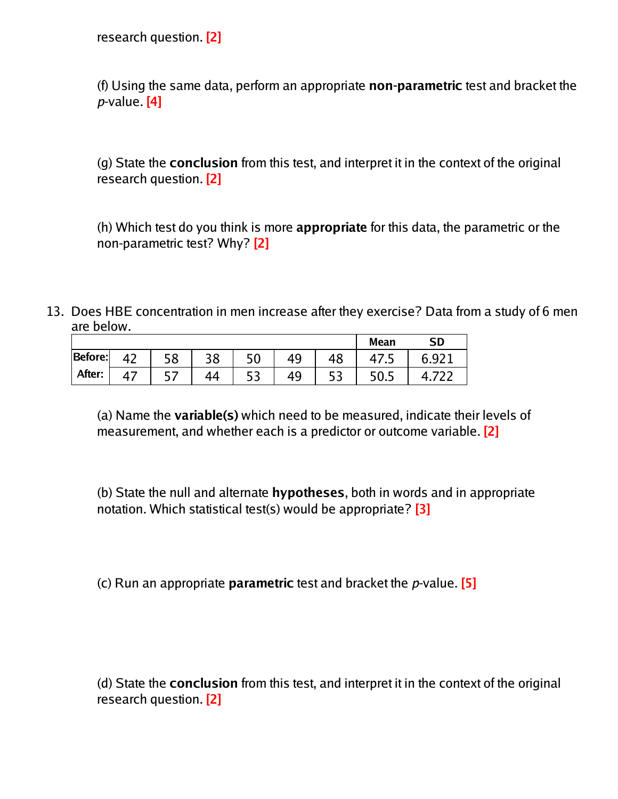research question. **[2]**

(f) Using the same data, perform an appropriate **non-parametric** test and bracket the p-value. **[4]**

(g) State the **conclusion** from this test, and interpret it in the context of the original research question. **[2]**

(h) Which test do you think is more **appropriate** for this data, the parametric or the non-parametric test? Why? **[2]**

13. Does HBE concentration in men increase after they exercise? Data from a study of 6 men are below.

|         |                        |            |    |     |     | <b>Mean</b> | <b>SD</b> |
|---------|------------------------|------------|----|-----|-----|-------------|-----------|
| Before: | $\Lambda$ <sup>-</sup> | 58         | 38 | 50  |     |             |           |
| After:  |                        | <u>. .</u> |    | ر ر | ر ر |             |           |

(a) Name the **variable(s)** which need to be measured, indicate their levels of measurement, and whether each is a predictor or outcome variable. **[2]**

(b) State the null and alternate **hypotheses**, both in words and in appropriate notation. Which statistical test(s) would be appropriate? **[3]**

(c) Run an appropriate **parametric** test and bracket the p-value. **[5]**

(d) State the **conclusion** from this test, and interpret it in the context of the original research question. **[2]**